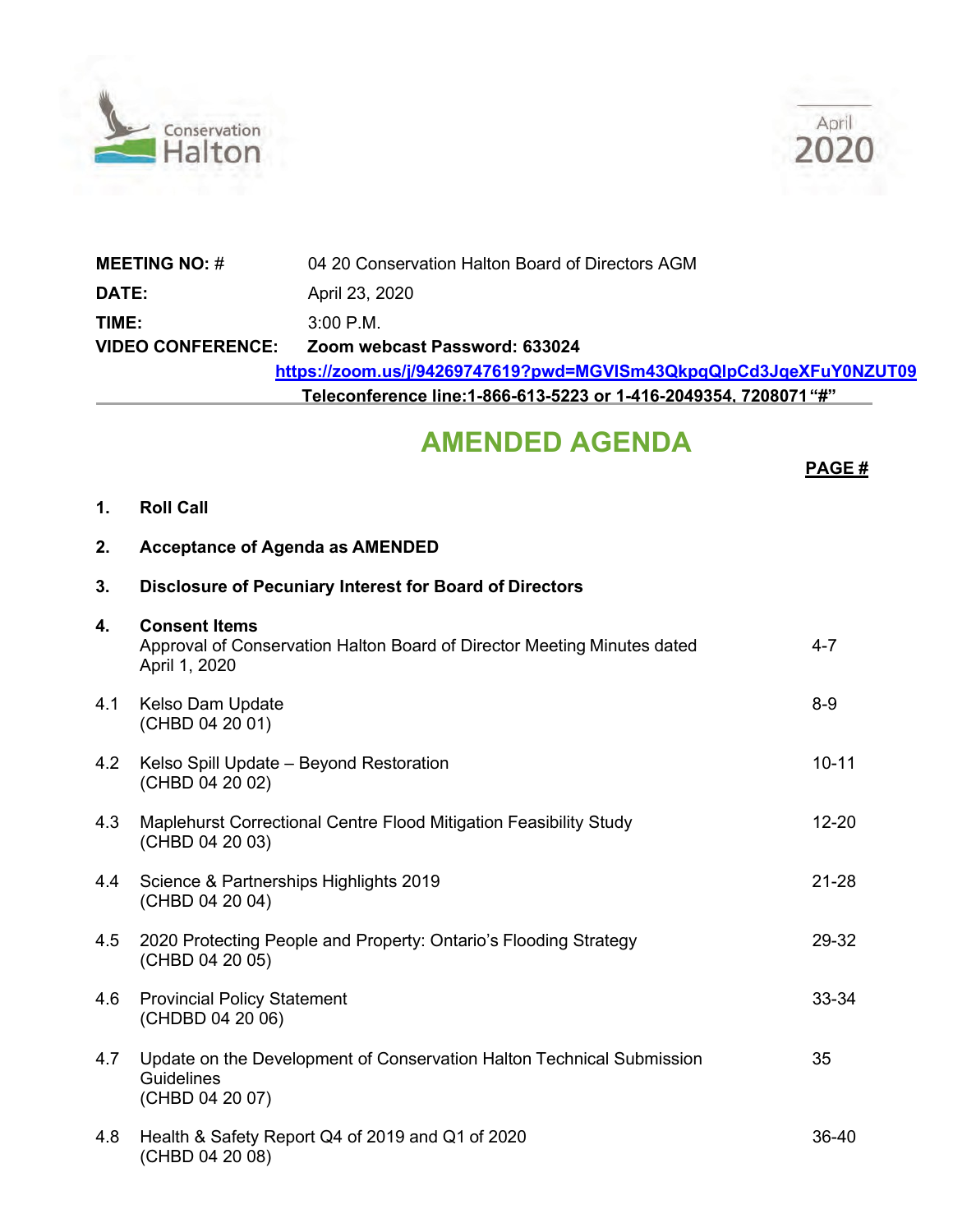



| <b>MEETING NO: #</b>                                                         | 04 20 Conservation Halton Board of Directors AGM |  |  |  |
|------------------------------------------------------------------------------|--------------------------------------------------|--|--|--|
| <b>DATE:</b>                                                                 | April 23, 2020                                   |  |  |  |
| TIME:                                                                        | $3:00 \text{ P.M.}$                              |  |  |  |
| <b>VIDEO CONFERENCE:</b>                                                     | Zoom webcast Password: 633024                    |  |  |  |
| https://zoom.us/j/94269747619?pwd=MGVISm43QkpqQlpCd3JqeXFuY0NZUT09           |                                                  |  |  |  |
| Teleconference line:1-866-613-5223 or 1-416-2049354. 8093917 followed by "#" |                                                  |  |  |  |

## **AMENDED AGENDA**

**PAGE #**

**1. Roll Call**

## **2. Acceptance of Agenda as AMENDED**

| 3.  | Disclosure of Pecuniary Interest for Board of Directors                                                          |           |
|-----|------------------------------------------------------------------------------------------------------------------|-----------|
| 4.  | <b>Consent Items</b><br>Approval of Conservation Halton Board of Director Meeting Minutes dated<br>April 1, 2020 | $4 - 7$   |
| 4.1 | Kelso Dam Update<br>(CHBD 04 20 01)                                                                              | $8 - 9$   |
| 4.2 | Kelso Spill Update - Beyond Restoration<br>(CHBD 04 20 02)                                                       | $10 - 11$ |
| 4.3 | Maplehurst Correctional Centre Flood Mitigation Feasibility Study<br>(CHBD 04 20 03)                             | $12 - 20$ |
| 4.4 | Science & Partnerships Highlights 2019<br>(CHBD 04 20 04)                                                        | $21 - 28$ |
| 4.5 | 2020 Protecting People and Property: Ontario's Flooding Strategy<br>(CHBD 04 20 05)                              | 29-32     |
| 4.6 | <b>Provincial Policy Statement</b><br>(CHDBD 04 20 06)                                                           | 33-34     |
| 4.7 | Update on the Development of Conservation Halton Technical Submission<br>Guidelines<br>(CHBD 04 20 07)           | 35        |
| 4.8 | Health & Safety Report Q4 of 2019 and Q1 of 2020<br>(CHBD 04 20 08)                                              | 36-40     |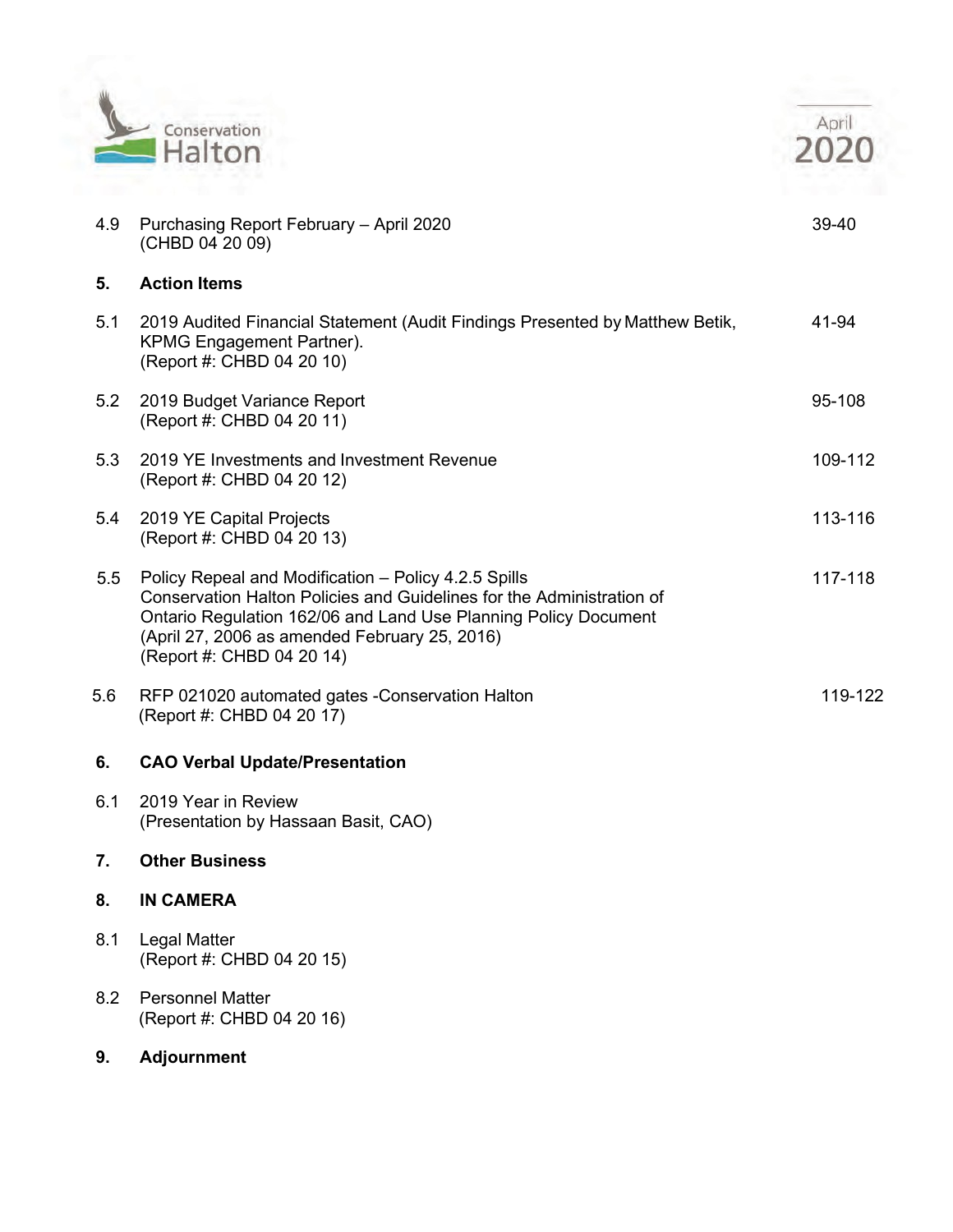

|     | Conservation<br>Halton                                                                                                                        |       |
|-----|-----------------------------------------------------------------------------------------------------------------------------------------------|-------|
| 4.9 | Purchasing Report February - April 2020<br>(CHBD 04 20 09)                                                                                    | 39-40 |
| 5.  | <b>Action Items</b>                                                                                                                           |       |
| 5.1 | 2019 Audited Financial Statement (Audit Findings Presented by Matthew Betik,<br><b>KPMG Engagement Partner).</b><br>(Report #: CHBD 04 20 10) | 41-94 |

|     | <b>KPMG Engagement Partner).</b><br>(Report #: CHBD 04 20 10)                                                                                                                                                                                                                  |         |
|-----|--------------------------------------------------------------------------------------------------------------------------------------------------------------------------------------------------------------------------------------------------------------------------------|---------|
| 5.2 | 2019 Budget Variance Report<br>(Report #: CHBD 04 20 11)                                                                                                                                                                                                                       | 95-108  |
| 5.3 | 2019 YE Investments and Investment Revenue<br>(Report #: CHBD 04 20 12)                                                                                                                                                                                                        | 109-112 |
| 5.4 | 2019 YE Capital Projects<br>(Report #: CHBD 04 20 13)                                                                                                                                                                                                                          | 113-116 |
| 5.5 | Policy Repeal and Modification - Policy 4.2.5 Spills<br>Conservation Halton Policies and Guidelines for the Administration of<br>Ontario Regulation 162/06 and Land Use Planning Policy Document<br>(April 27, 2006 as amended February 25, 2016)<br>(Report #: CHBD 04 20 14) | 117-118 |
| 5.6 | RFP 021020 automated gates - Conservation Halton<br>(Report #: CHBD 04 20 17)                                                                                                                                                                                                  | 119-122 |
| 6.  | <b>CAO Verbal Update/Presentation</b>                                                                                                                                                                                                                                          |         |
| 6.1 | 2019 Year in Review<br>(Presentation by Hassaan Basit, CAO)                                                                                                                                                                                                                    |         |
| 7.  | <b>Other Business</b>                                                                                                                                                                                                                                                          |         |
| 8.  | <b>IN CAMERA</b>                                                                                                                                                                                                                                                               |         |
| 8.1 | Legal Matter<br>(Report #: CHBD 04 20 15)                                                                                                                                                                                                                                      |         |

- 8.2 Personnel Matter (Report #: CHBD 04 20 16)
- **9. Adjournment**